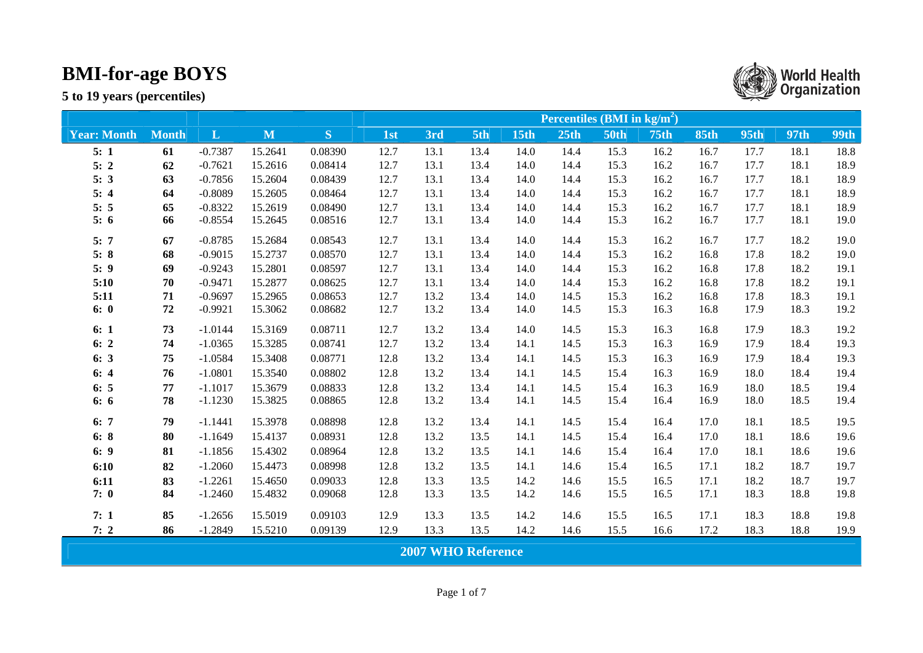

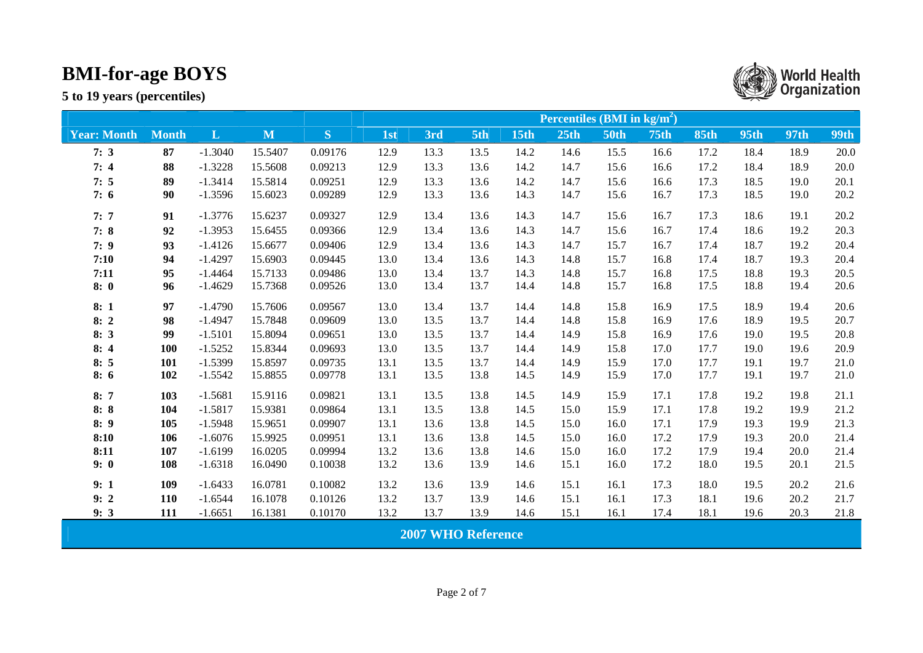|                    |              |           |         |         | Percentiles (BMI in $\text{kg/m}^2$ ) |                           |      |      |      |             |             |             |      |      |             |  |
|--------------------|--------------|-----------|---------|---------|---------------------------------------|---------------------------|------|------|------|-------------|-------------|-------------|------|------|-------------|--|
| <b>Year: Month</b> | <b>Month</b> | L         | M       | S       | 1st                                   | 3rd                       | 5th  | 15th | 25th | <b>50th</b> | <b>75th</b> | <b>85th</b> | 95th | 97th | <b>99th</b> |  |
| 7:3                | 87           | $-1.3040$ | 15.5407 | 0.09176 | 12.9                                  | 13.3                      | 13.5 | 14.2 | 14.6 | 15.5        | 16.6        | 17.2        | 18.4 | 18.9 | 20.0        |  |
| 7:4                | 88           | $-1.3228$ | 15.5608 | 0.09213 | 12.9                                  | 13.3                      | 13.6 | 14.2 | 14.7 | 15.6        | 16.6        | 17.2        | 18.4 | 18.9 | 20.0        |  |
| 7:5                | 89           | $-1.3414$ | 15.5814 | 0.09251 | 12.9                                  | 13.3                      | 13.6 | 14.2 | 14.7 | 15.6        | 16.6        | 17.3        | 18.5 | 19.0 | 20.1        |  |
| 7:6                | 90           | $-1.3596$ | 15.6023 | 0.09289 | 12.9                                  | 13.3                      | 13.6 | 14.3 | 14.7 | 15.6        | 16.7        | 17.3        | 18.5 | 19.0 | 20.2        |  |
| 7:7                | 91           | $-1.3776$ | 15.6237 | 0.09327 | 12.9                                  | 13.4                      | 13.6 | 14.3 | 14.7 | 15.6        | 16.7        | 17.3        | 18.6 | 19.1 | 20.2        |  |
| 7:8                | 92           | $-1.3953$ | 15.6455 | 0.09366 | 12.9                                  | 13.4                      | 13.6 | 14.3 | 14.7 | 15.6        | 16.7        | 17.4        | 18.6 | 19.2 | 20.3        |  |
| 7:9                | 93           | $-1.4126$ | 15.6677 | 0.09406 | 12.9                                  | 13.4                      | 13.6 | 14.3 | 14.7 | 15.7        | 16.7        | 17.4        | 18.7 | 19.2 | 20.4        |  |
| 7:10               | 94           | $-1.4297$ | 15.6903 | 0.09445 | 13.0                                  | 13.4                      | 13.6 | 14.3 | 14.8 | 15.7        | 16.8        | 17.4        | 18.7 | 19.3 | 20.4        |  |
| 7:11               | 95           | $-1.4464$ | 15.7133 | 0.09486 | 13.0                                  | 13.4                      | 13.7 | 14.3 | 14.8 | 15.7        | 16.8        | 17.5        | 18.8 | 19.3 | 20.5        |  |
| 8:0                | 96           | $-1.4629$ | 15.7368 | 0.09526 | 13.0                                  | 13.4                      | 13.7 | 14.4 | 14.8 | 15.7        | 16.8        | 17.5        | 18.8 | 19.4 | 20.6        |  |
| 8:1                | 97           | $-1.4790$ | 15.7606 | 0.09567 | 13.0                                  | 13.4                      | 13.7 | 14.4 | 14.8 | 15.8        | 16.9        | 17.5        | 18.9 | 19.4 | 20.6        |  |
| 8:2                | 98           | $-1.4947$ | 15.7848 | 0.09609 | 13.0                                  | 13.5                      | 13.7 | 14.4 | 14.8 | 15.8        | 16.9        | 17.6        | 18.9 | 19.5 | 20.7        |  |
| 8:3                | 99           | $-1.5101$ | 15.8094 | 0.09651 | 13.0                                  | 13.5                      | 13.7 | 14.4 | 14.9 | 15.8        | 16.9        | 17.6        | 19.0 | 19.5 | 20.8        |  |
| 8:4                | 100          | $-1.5252$ | 15.8344 | 0.09693 | 13.0                                  | 13.5                      | 13.7 | 14.4 | 14.9 | 15.8        | 17.0        | 17.7        | 19.0 | 19.6 | 20.9        |  |
| 8:5                | 101          | $-1.5399$ | 15.8597 | 0.09735 | 13.1                                  | 13.5                      | 13.7 | 14.4 | 14.9 | 15.9        | 17.0        | 17.7        | 19.1 | 19.7 | 21.0        |  |
| 8:6                | 102          | $-1.5542$ | 15.8855 | 0.09778 | 13.1                                  | 13.5                      | 13.8 | 14.5 | 14.9 | 15.9        | 17.0        | 17.7        | 19.1 | 19.7 | 21.0        |  |
| 8:7                | 103          | $-1.5681$ | 15.9116 | 0.09821 | 13.1                                  | 13.5                      | 13.8 | 14.5 | 14.9 | 15.9        | 17.1        | 17.8        | 19.2 | 19.8 | 21.1        |  |
| 8:8                | 104          | $-1.5817$ | 15.9381 | 0.09864 | 13.1                                  | 13.5                      | 13.8 | 14.5 | 15.0 | 15.9        | 17.1        | 17.8        | 19.2 | 19.9 | 21.2        |  |
| 8:9                | 105          | $-1.5948$ | 15.9651 | 0.09907 | 13.1                                  | 13.6                      | 13.8 | 14.5 | 15.0 | 16.0        | 17.1        | 17.9        | 19.3 | 19.9 | 21.3        |  |
| 8:10               | 106          | $-1.6076$ | 15.9925 | 0.09951 | 13.1                                  | 13.6                      | 13.8 | 14.5 | 15.0 | 16.0        | 17.2        | 17.9        | 19.3 | 20.0 | 21.4        |  |
| 8:11               | 107          | $-1.6199$ | 16.0205 | 0.09994 | 13.2                                  | 13.6                      | 13.8 | 14.6 | 15.0 | 16.0        | 17.2        | 17.9        | 19.4 | 20.0 | 21.4        |  |
| 9:0                | 108          | $-1.6318$ | 16.0490 | 0.10038 | 13.2                                  | 13.6                      | 13.9 | 14.6 | 15.1 | 16.0        | 17.2        | 18.0        | 19.5 | 20.1 | 21.5        |  |
| 9:1                | 109          | $-1.6433$ | 16.0781 | 0.10082 | 13.2                                  | 13.6                      | 13.9 | 14.6 | 15.1 | 16.1        | 17.3        | 18.0        | 19.5 | 20.2 | 21.6        |  |
| 9:2                | 110          | $-1.6544$ | 16.1078 | 0.10126 | 13.2                                  | 13.7                      | 13.9 | 14.6 | 15.1 | 16.1        | 17.3        | 18.1        | 19.6 | 20.2 | 21.7        |  |
| 9:3                | 111          | $-1.6651$ | 16.1381 | 0.10170 | 13.2                                  | 13.7                      | 13.9 | 14.6 | 15.1 | 16.1        | 17.4        | 18.1        | 19.6 | 20.3 | 21.8        |  |
|                    |              |           |         |         |                                       | <b>2007 WHO Reference</b> |      |      |      |             |             |             |      |      |             |  |

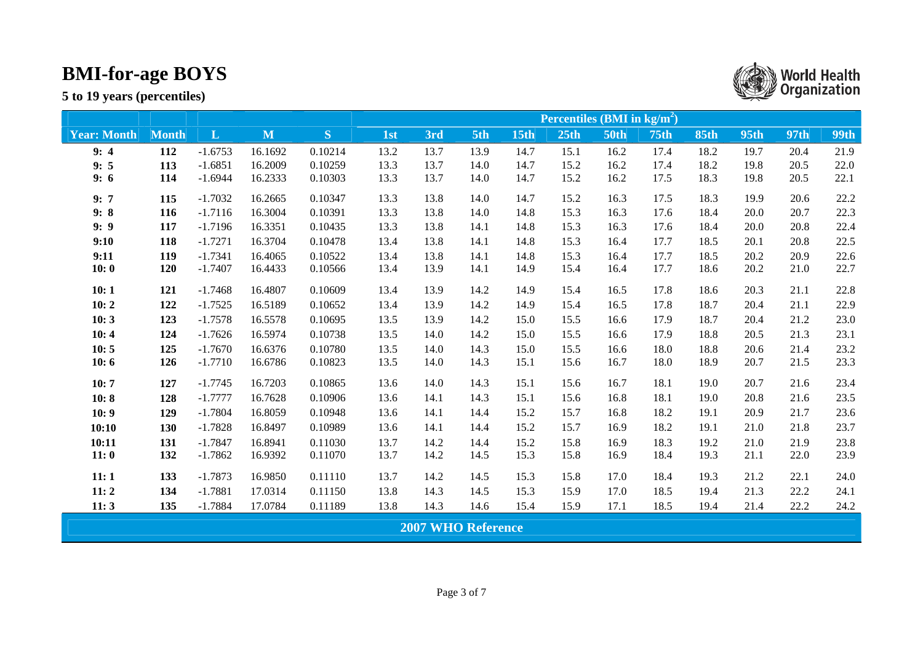|                    |              |              |         |         | Percentiles ( $\overline{BMI}$ in $\text{kg/m}^2$ ) |                           |      |             |      |             |             |             |             |             |             |  |
|--------------------|--------------|--------------|---------|---------|-----------------------------------------------------|---------------------------|------|-------------|------|-------------|-------------|-------------|-------------|-------------|-------------|--|
| <b>Year: Month</b> | <b>Month</b> | $\mathbf{L}$ | M       | S       | 1st                                                 | 3rd                       | 5th  | <b>15th</b> | 25th | <b>50th</b> | <b>75th</b> | <b>85th</b> | <b>95th</b> | <b>97th</b> | <b>99th</b> |  |
| 9:4                | 112          | $-1.6753$    | 16.1692 | 0.10214 | 13.2                                                | 13.7                      | 13.9 | 14.7        | 15.1 | 16.2        | 17.4        | 18.2        | 19.7        | 20.4        | 21.9        |  |
| 9:5                | 113          | $-1.6851$    | 16.2009 | 0.10259 | 13.3                                                | 13.7                      | 14.0 | 14.7        | 15.2 | 16.2        | 17.4        | 18.2        | 19.8        | 20.5        | 22.0        |  |
| 9:6                | 114          | $-1.6944$    | 16.2333 | 0.10303 | 13.3                                                | 13.7                      | 14.0 | 14.7        | 15.2 | 16.2        | 17.5        | 18.3        | 19.8        | 20.5        | 22.1        |  |
| 9:7                | 115          | $-1.7032$    | 16.2665 | 0.10347 | 13.3                                                | 13.8                      | 14.0 | 14.7        | 15.2 | 16.3        | 17.5        | 18.3        | 19.9        | 20.6        | 22.2        |  |
| 9:8                | 116          | $-1.7116$    | 16.3004 | 0.10391 | 13.3                                                | 13.8                      | 14.0 | 14.8        | 15.3 | 16.3        | 17.6        | 18.4        | 20.0        | 20.7        | 22.3        |  |
| 9:9                | 117          | $-1.7196$    | 16.3351 | 0.10435 | 13.3                                                | 13.8                      | 14.1 | 14.8        | 15.3 | 16.3        | 17.6        | 18.4        | 20.0        | 20.8        | 22.4        |  |
| 9:10               | 118          | $-1.7271$    | 16.3704 | 0.10478 | 13.4                                                | 13.8                      | 14.1 | 14.8        | 15.3 | 16.4        | 17.7        | 18.5        | 20.1        | 20.8        | 22.5        |  |
| 9:11               | 119          | $-1.7341$    | 16.4065 | 0.10522 | 13.4                                                | 13.8                      | 14.1 | 14.8        | 15.3 | 16.4        | 17.7        | 18.5        | 20.2        | 20.9        | 22.6        |  |
| 10:0               | 120          | $-1.7407$    | 16.4433 | 0.10566 | 13.4                                                | 13.9                      | 14.1 | 14.9        | 15.4 | 16.4        | 17.7        | 18.6        | 20.2        | 21.0        | 22.7        |  |
| 10:1               | 121          | $-1.7468$    | 16.4807 | 0.10609 | 13.4                                                | 13.9                      | 14.2 | 14.9        | 15.4 | 16.5        | 17.8        | 18.6        | 20.3        | 21.1        | 22.8        |  |
| 10:2               | 122          | $-1.7525$    | 16.5189 | 0.10652 | 13.4                                                | 13.9                      | 14.2 | 14.9        | 15.4 | 16.5        | 17.8        | 18.7        | 20.4        | 21.1        | 22.9        |  |
| 10:3               | 123          | $-1.7578$    | 16.5578 | 0.10695 | 13.5                                                | 13.9                      | 14.2 | 15.0        | 15.5 | 16.6        | 17.9        | 18.7        | 20.4        | 21.2        | 23.0        |  |
| 10:4               | 124          | $-1.7626$    | 16.5974 | 0.10738 | 13.5                                                | 14.0                      | 14.2 | 15.0        | 15.5 | 16.6        | 17.9        | 18.8        | 20.5        | 21.3        | 23.1        |  |
| 10:5               | 125          | $-1.7670$    | 16.6376 | 0.10780 | 13.5                                                | 14.0                      | 14.3 | 15.0        | 15.5 | 16.6        | 18.0        | 18.8        | 20.6        | 21.4        | 23.2        |  |
| 10:6               | 126          | $-1.7710$    | 16.6786 | 0.10823 | 13.5                                                | 14.0                      | 14.3 | 15.1        | 15.6 | 16.7        | 18.0        | 18.9        | 20.7        | 21.5        | 23.3        |  |
| 10:7               | 127          | $-1.7745$    | 16.7203 | 0.10865 | 13.6                                                | 14.0                      | 14.3 | 15.1        | 15.6 | 16.7        | 18.1        | 19.0        | 20.7        | 21.6        | 23.4        |  |
| 10:8               | 128          | $-1.7777$    | 16.7628 | 0.10906 | 13.6                                                | 14.1                      | 14.3 | 15.1        | 15.6 | 16.8        | 18.1        | 19.0        | 20.8        | 21.6        | 23.5        |  |
| 10:9               | 129          | $-1.7804$    | 16.8059 | 0.10948 | 13.6                                                | 14.1                      | 14.4 | 15.2        | 15.7 | 16.8        | 18.2        | 19.1        | 20.9        | 21.7        | 23.6        |  |
| 10:10              | 130          | $-1.7828$    | 16.8497 | 0.10989 | 13.6                                                | 14.1                      | 14.4 | 15.2        | 15.7 | 16.9        | 18.2        | 19.1        | 21.0        | 21.8        | 23.7        |  |
| 10:11              | 131          | $-1.7847$    | 16.8941 | 0.11030 | 13.7                                                | 14.2                      | 14.4 | 15.2        | 15.8 | 16.9        | 18.3        | 19.2        | 21.0        | 21.9        | 23.8        |  |
| 11:0               | 132          | $-1.7862$    | 16.9392 | 0.11070 | 13.7                                                | 14.2                      | 14.5 | 15.3        | 15.8 | 16.9        | 18.4        | 19.3        | 21.1        | 22.0        | 23.9        |  |
| 11:1               | 133          | $-1.7873$    | 16.9850 | 0.11110 | 13.7                                                | 14.2                      | 14.5 | 15.3        | 15.8 | 17.0        | 18.4        | 19.3        | 21.2        | 22.1        | 24.0        |  |
| 11:2               | 134          | $-1.7881$    | 17.0314 | 0.11150 | 13.8                                                | 14.3                      | 14.5 | 15.3        | 15.9 | 17.0        | 18.5        | 19.4        | 21.3        | 22.2        | 24.1        |  |
| 11:3               | 135          | $-1.7884$    | 17.0784 | 0.11189 | 13.8                                                | 14.3                      | 14.6 | 15.4        | 15.9 | 17.1        | 18.5        | 19.4        | 21.4        | 22.2        | 24.2        |  |
|                    |              |              |         |         |                                                     | <b>2007 WHO Reference</b> |      |             |      |             |             |             |             |             |             |  |

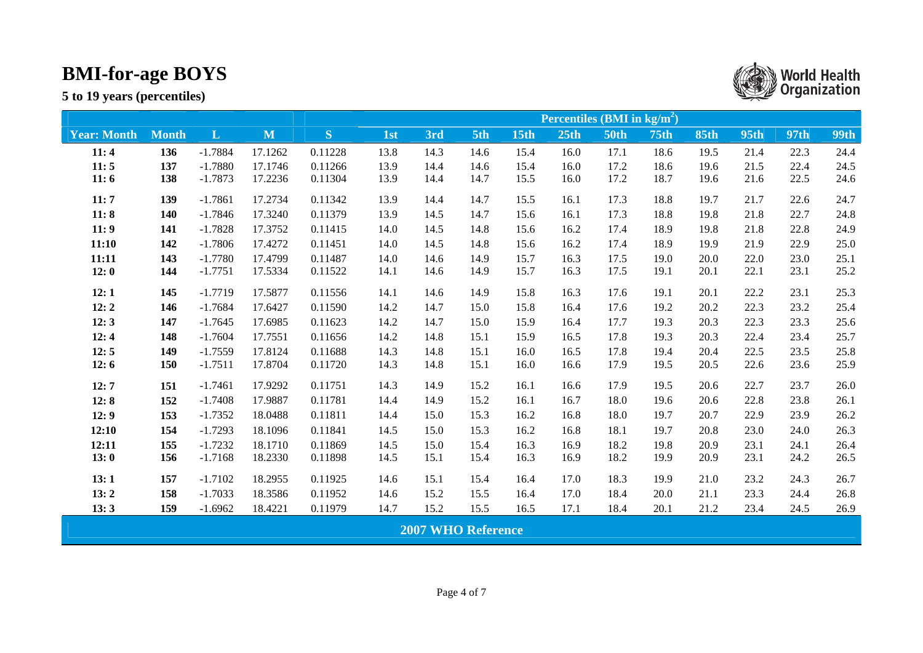|                    |              |              |              |         | Percentiles (BMI in $\text{kg/m}^2$ ) |                           |      |             |      |             |                  |             |             |             |             |
|--------------------|--------------|--------------|--------------|---------|---------------------------------------|---------------------------|------|-------------|------|-------------|------------------|-------------|-------------|-------------|-------------|
| <b>Year: Month</b> | <b>Month</b> | $\mathbf{L}$ | $\mathbf{M}$ | S       | 1st                                   | 3rd                       | 5th  | <b>15th</b> | 25th | <b>50th</b> | 75 <sub>th</sub> | <b>85th</b> | <b>95th</b> | <b>97th</b> | <b>99th</b> |
| 11:4               | 136          | $-1.7884$    | 17.1262      | 0.11228 | 13.8                                  | 14.3                      | 14.6 | 15.4        | 16.0 | 17.1        | 18.6             | 19.5        | 21.4        | 22.3        | 24.4        |
| 11:5               | 137          | $-1.7880$    | 17.1746      | 0.11266 | 13.9                                  | 14.4                      | 14.6 | 15.4        | 16.0 | 17.2        | 18.6             | 19.6        | 21.5        | 22.4        | 24.5        |
| 11:6               | 138          | $-1.7873$    | 17.2236      | 0.11304 | 13.9                                  | 14.4                      | 14.7 | 15.5        | 16.0 | 17.2        | 18.7             | 19.6        | 21.6        | 22.5        | 24.6        |
| 11:7               | 139          | $-1.7861$    | 17.2734      | 0.11342 | 13.9                                  | 14.4                      | 14.7 | 15.5        | 16.1 | 17.3        | 18.8             | 19.7        | 21.7        | 22.6        | 24.7        |
| 11:8               | 140          | $-1.7846$    | 17.3240      | 0.11379 | 13.9                                  | 14.5                      | 14.7 | 15.6        | 16.1 | 17.3        | 18.8             | 19.8        | 21.8        | 22.7        | 24.8        |
| 11:9               | 141          | $-1.7828$    | 17.3752      | 0.11415 | 14.0                                  | 14.5                      | 14.8 | 15.6        | 16.2 | 17.4        | 18.9             | 19.8        | 21.8        | 22.8        | 24.9        |
| 11:10              | 142          | $-1.7806$    | 17.4272      | 0.11451 | 14.0                                  | 14.5                      | 14.8 | 15.6        | 16.2 | 17.4        | 18.9             | 19.9        | 21.9        | 22.9        | 25.0        |
| 11:11              | 143          | $-1.7780$    | 17.4799      | 0.11487 | 14.0                                  | 14.6                      | 14.9 | 15.7        | 16.3 | 17.5        | 19.0             | 20.0        | 22.0        | 23.0        | 25.1        |
| 12:0               | 144          | $-1.7751$    | 17.5334      | 0.11522 | 14.1                                  | 14.6                      | 14.9 | 15.7        | 16.3 | 17.5        | 19.1             | 20.1        | 22.1        | 23.1        | 25.2        |
| 12:1               | 145          | $-1.7719$    | 17.5877      | 0.11556 | 14.1                                  | 14.6                      | 14.9 | 15.8        | 16.3 | 17.6        | 19.1             | 20.1        | 22.2        | 23.1        | 25.3        |
| 12:2               | 146          | $-1.7684$    | 17.6427      | 0.11590 | 14.2                                  | 14.7                      | 15.0 | 15.8        | 16.4 | 17.6        | 19.2             | 20.2        | 22.3        | 23.2        | 25.4        |
| 12:3               | 147          | $-1.7645$    | 17.6985      | 0.11623 | 14.2                                  | 14.7                      | 15.0 | 15.9        | 16.4 | 17.7        | 19.3             | 20.3        | 22.3        | 23.3        | 25.6        |
| 12:4               | 148          | $-1.7604$    | 17.7551      | 0.11656 | 14.2                                  | 14.8                      | 15.1 | 15.9        | 16.5 | 17.8        | 19.3             | 20.3        | 22.4        | 23.4        | 25.7        |
| 12:5               | 149          | $-1.7559$    | 17.8124      | 0.11688 | 14.3                                  | 14.8                      | 15.1 | 16.0        | 16.5 | 17.8        | 19.4             | 20.4        | 22.5        | 23.5        | 25.8        |
| 12:6               | 150          | $-1.7511$    | 17.8704      | 0.11720 | 14.3                                  | 14.8                      | 15.1 | 16.0        | 16.6 | 17.9        | 19.5             | 20.5        | 22.6        | 23.6        | 25.9        |
| 12:7               | 151          | $-1.7461$    | 17.9292      | 0.11751 | 14.3                                  | 14.9                      | 15.2 | 16.1        | 16.6 | 17.9        | 19.5             | 20.6        | 22.7        | 23.7        | 26.0        |
| 12:8               | 152          | $-1.7408$    | 17.9887      | 0.11781 | 14.4                                  | 14.9                      | 15.2 | 16.1        | 16.7 | 18.0        | 19.6             | 20.6        | 22.8        | 23.8        | 26.1        |
| 12:9               | 153          | $-1.7352$    | 18.0488      | 0.11811 | 14.4                                  | 15.0                      | 15.3 | 16.2        | 16.8 | 18.0        | 19.7             | 20.7        | 22.9        | 23.9        | 26.2        |
| 12:10              | 154          | $-1.7293$    | 18.1096      | 0.11841 | 14.5                                  | 15.0                      | 15.3 | 16.2        | 16.8 | 18.1        | 19.7             | 20.8        | 23.0        | 24.0        | 26.3        |
| 12:11              | 155          | $-1.7232$    | 18.1710      | 0.11869 | 14.5                                  | 15.0                      | 15.4 | 16.3        | 16.9 | 18.2        | 19.8             | 20.9        | 23.1        | 24.1        | 26.4        |
| 13:0               | 156          | $-1.7168$    | 18.2330      | 0.11898 | 14.5                                  | 15.1                      | 15.4 | 16.3        | 16.9 | 18.2        | 19.9             | 20.9        | 23.1        | 24.2        | 26.5        |
| 13:1               | 157          | $-1.7102$    | 18.2955      | 0.11925 | 14.6                                  | 15.1                      | 15.4 | 16.4        | 17.0 | 18.3        | 19.9             | 21.0        | 23.2        | 24.3        | 26.7        |
| 13:2               | 158          | $-1.7033$    | 18.3586      | 0.11952 | 14.6                                  | 15.2                      | 15.5 | 16.4        | 17.0 | 18.4        | 20.0             | 21.1        | 23.3        | 24.4        | 26.8        |
| 13:3               | 159          | $-1.6962$    | 18.4221      | 0.11979 | 14.7                                  | 15.2                      | 15.5 | 16.5        | 17.1 | 18.4        | 20.1             | 21.2        | 23.4        | 24.5        | 26.9        |
|                    |              |              |              |         |                                       | <b>2007 WHO Reference</b> |      |             |      |             |                  |             |             |             |             |

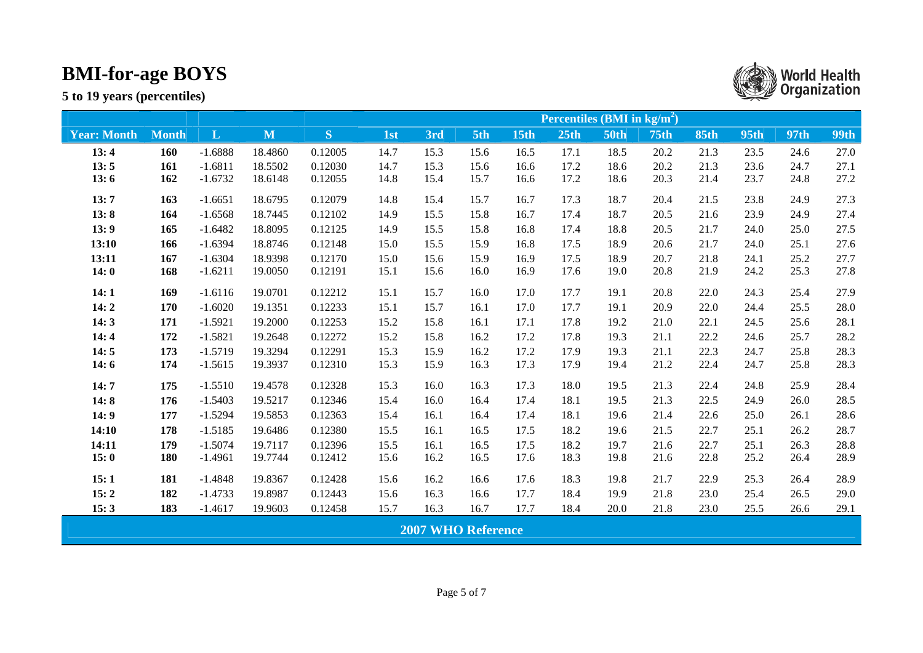|                    |              |              |         |         | <b>Percentiles (BMI in kg/m<sup>2</sup>)</b> |                           |      |             |                  |             |                  |             |             |             |             |
|--------------------|--------------|--------------|---------|---------|----------------------------------------------|---------------------------|------|-------------|------------------|-------------|------------------|-------------|-------------|-------------|-------------|
| <b>Year: Month</b> | <b>Month</b> | $\mathbf{L}$ | M       | S       | 1st                                          | 3rd                       | 5th  | <b>15th</b> | 25 <sub>th</sub> | <b>50th</b> | 75 <sub>th</sub> | <b>85th</b> | <b>95th</b> | <b>97th</b> | <b>99th</b> |
| 13:4               | 160          | $-1.6888$    | 18.4860 | 0.12005 | 14.7                                         | 15.3                      | 15.6 | 16.5        | 17.1             | 18.5        | 20.2             | 21.3        | 23.5        | 24.6        | 27.0        |
| 13:5               | 161          | $-1.6811$    | 18.5502 | 0.12030 | 14.7                                         | 15.3                      | 15.6 | 16.6        | 17.2             | 18.6        | 20.2             | 21.3        | 23.6        | 24.7        | 27.1        |
| 13:6               | 162          | $-1.6732$    | 18.6148 | 0.12055 | 14.8                                         | 15.4                      | 15.7 | 16.6        | 17.2             | 18.6        | 20.3             | 21.4        | 23.7        | 24.8        | 27.2        |
| 13:7               | 163          | $-1.6651$    | 18.6795 | 0.12079 | 14.8                                         | 15.4                      | 15.7 | 16.7        | 17.3             | 18.7        | 20.4             | 21.5        | 23.8        | 24.9        | 27.3        |
| 13:8               | 164          | $-1.6568$    | 18.7445 | 0.12102 | 14.9                                         | 15.5                      | 15.8 | 16.7        | 17.4             | 18.7        | 20.5             | 21.6        | 23.9        | 24.9        | 27.4        |
| 13:9               | 165          | $-1.6482$    | 18.8095 | 0.12125 | 14.9                                         | 15.5                      | 15.8 | 16.8        | 17.4             | 18.8        | 20.5             | 21.7        | 24.0        | 25.0        | 27.5        |
| 13:10              | 166          | $-1.6394$    | 18.8746 | 0.12148 | 15.0                                         | 15.5                      | 15.9 | 16.8        | 17.5             | 18.9        | 20.6             | 21.7        | 24.0        | 25.1        | 27.6        |
| 13:11              | 167          | $-1.6304$    | 18.9398 | 0.12170 | 15.0                                         | 15.6                      | 15.9 | 16.9        | 17.5             | 18.9        | 20.7             | 21.8        | 24.1        | 25.2        | 27.7        |
| 14:0               | 168          | $-1.6211$    | 19.0050 | 0.12191 | 15.1                                         | 15.6                      | 16.0 | 16.9        | 17.6             | 19.0        | 20.8             | 21.9        | 24.2        | 25.3        | 27.8        |
| 14:1               | 169          | $-1.6116$    | 19.0701 | 0.12212 | 15.1                                         | 15.7                      | 16.0 | 17.0        | 17.7             | 19.1        | 20.8             | 22.0        | 24.3        | 25.4        | 27.9        |
| 14:2               | 170          | $-1.6020$    | 19.1351 | 0.12233 | 15.1                                         | 15.7                      | 16.1 | 17.0        | 17.7             | 19.1        | 20.9             | 22.0        | 24.4        | 25.5        | 28.0        |
| 14:3               | 171          | $-1.5921$    | 19.2000 | 0.12253 | 15.2                                         | 15.8                      | 16.1 | 17.1        | 17.8             | 19.2        | 21.0             | 22.1        | 24.5        | 25.6        | 28.1        |
| 14:4               | 172          | $-1.5821$    | 19.2648 | 0.12272 | 15.2                                         | 15.8                      | 16.2 | 17.2        | 17.8             | 19.3        | 21.1             | 22.2        | 24.6        | 25.7        | 28.2        |
| 14:5               | 173          | $-1.5719$    | 19.3294 | 0.12291 | 15.3                                         | 15.9                      | 16.2 | 17.2        | 17.9             | 19.3        | 21.1             | 22.3        | 24.7        | 25.8        | 28.3        |
| 14:6               | 174          | $-1.5615$    | 19.3937 | 0.12310 | 15.3                                         | 15.9                      | 16.3 | 17.3        | 17.9             | 19.4        | 21.2             | 22.4        | 24.7        | 25.8        | 28.3        |
| 14:7               | 175          | $-1.5510$    | 19.4578 | 0.12328 | 15.3                                         | 16.0                      | 16.3 | 17.3        | 18.0             | 19.5        | 21.3             | 22.4        | 24.8        | 25.9        | 28.4        |
| 14:8               | 176          | $-1.5403$    | 19.5217 | 0.12346 | 15.4                                         | 16.0                      | 16.4 | 17.4        | 18.1             | 19.5        | 21.3             | 22.5        | 24.9        | 26.0        | 28.5        |
| 14:9               | 177          | $-1.5294$    | 19.5853 | 0.12363 | 15.4                                         | 16.1                      | 16.4 | 17.4        | 18.1             | 19.6        | 21.4             | 22.6        | 25.0        | 26.1        | 28.6        |
| 14:10              | 178          | $-1.5185$    | 19.6486 | 0.12380 | 15.5                                         | 16.1                      | 16.5 | 17.5        | 18.2             | 19.6        | 21.5             | 22.7        | 25.1        | 26.2        | 28.7        |
| 14:11              | 179          | $-1.5074$    | 19.7117 | 0.12396 | 15.5                                         | 16.1                      | 16.5 | 17.5        | 18.2             | 19.7        | 21.6             | 22.7        | 25.1        | 26.3        | 28.8        |
| 15:0               | 180          | $-1.4961$    | 19.7744 | 0.12412 | 15.6                                         | 16.2                      | 16.5 | 17.6        | 18.3             | 19.8        | 21.6             | 22.8        | 25.2        | 26.4        | 28.9        |
| 15:1               | 181          | $-1.4848$    | 19.8367 | 0.12428 | 15.6                                         | 16.2                      | 16.6 | 17.6        | 18.3             | 19.8        | 21.7             | 22.9        | 25.3        | 26.4        | 28.9        |
| 15:2               | 182          | $-1.4733$    | 19.8987 | 0.12443 | 15.6                                         | 16.3                      | 16.6 | 17.7        | 18.4             | 19.9        | 21.8             | 23.0        | 25.4        | 26.5        | 29.0        |
| 15:3               | 183          | $-1.4617$    | 19.9603 | 0.12458 | 15.7                                         | 16.3                      | 16.7 | 17.7        | 18.4             | 20.0        | 21.8             | 23.0        | 25.5        | 26.6        | 29.1        |
|                    |              |              |         |         |                                              | <b>2007 WHO Reference</b> |      |             |                  |             |                  |             |             |             |             |

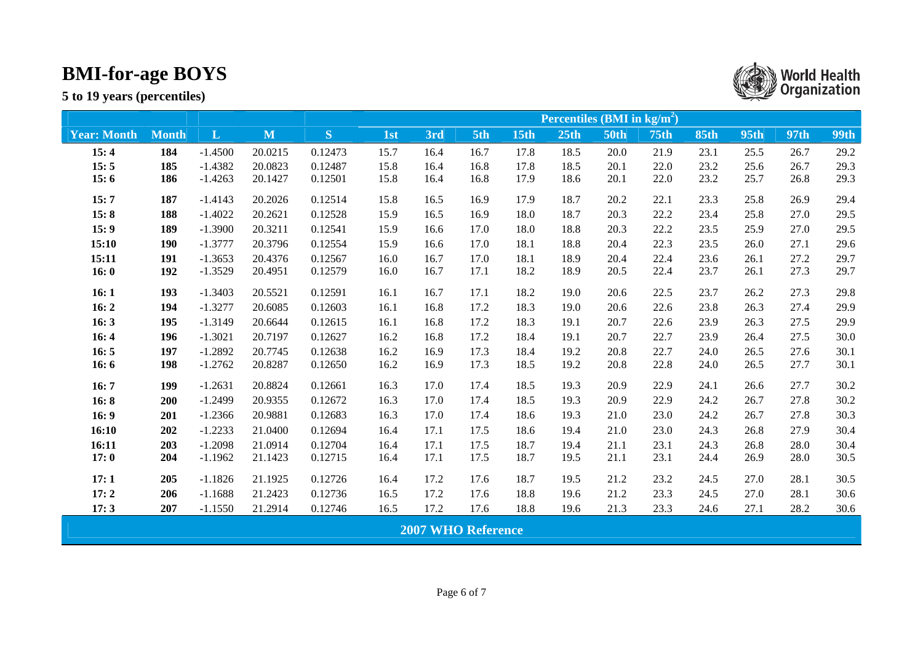|                    |              |              |         |         | <b>Percentiles (BMI in kg/m<sup>2</sup>)</b> |                           |      |             |                  |             |                  |             |             |      |             |
|--------------------|--------------|--------------|---------|---------|----------------------------------------------|---------------------------|------|-------------|------------------|-------------|------------------|-------------|-------------|------|-------------|
| <b>Year: Month</b> | <b>Month</b> | $\mathbf{L}$ | M       | S       | 1st                                          | 3rd                       | 5th  | <b>15th</b> | 25 <sub>th</sub> | <b>50th</b> | 75 <sub>th</sub> | <b>85th</b> | <b>95th</b> | 97th | <b>99th</b> |
| 15:4               | 184          | $-1.4500$    | 20.0215 | 0.12473 | 15.7                                         | 16.4                      | 16.7 | 17.8        | 18.5             | 20.0        | 21.9             | 23.1        | 25.5        | 26.7 | 29.2        |
| 15:5               | 185          | $-1.4382$    | 20.0823 | 0.12487 | 15.8                                         | 16.4                      | 16.8 | 17.8        | 18.5             | 20.1        | 22.0             | 23.2        | 25.6        | 26.7 | 29.3        |
| 15:6               | 186          | $-1.4263$    | 20.1427 | 0.12501 | 15.8                                         | 16.4                      | 16.8 | 17.9        | 18.6             | 20.1        | 22.0             | 23.2        | 25.7        | 26.8 | 29.3        |
| 15:7               | 187          | $-1.4143$    | 20.2026 | 0.12514 | 15.8                                         | 16.5                      | 16.9 | 17.9        | 18.7             | 20.2        | 22.1             | 23.3        | 25.8        | 26.9 | 29.4        |
| 15:8               | 188          | $-1.4022$    | 20.2621 | 0.12528 | 15.9                                         | 16.5                      | 16.9 | 18.0        | 18.7             | 20.3        | 22.2             | 23.4        | 25.8        | 27.0 | 29.5        |
| 15:9               | 189          | $-1.3900$    | 20.3211 | 0.12541 | 15.9                                         | 16.6                      | 17.0 | 18.0        | 18.8             | 20.3        | 22.2             | 23.5        | 25.9        | 27.0 | 29.5        |
| 15:10              | 190          | $-1.3777$    | 20.3796 | 0.12554 | 15.9                                         | 16.6                      | 17.0 | 18.1        | 18.8             | 20.4        | 22.3             | 23.5        | 26.0        | 27.1 | 29.6        |
| 15:11              | 191          | $-1.3653$    | 20.4376 | 0.12567 | 16.0                                         | 16.7                      | 17.0 | 18.1        | 18.9             | 20.4        | 22.4             | 23.6        | 26.1        | 27.2 | 29.7        |
| 16:0               | 192          | $-1.3529$    | 20.4951 | 0.12579 | 16.0                                         | 16.7                      | 17.1 | 18.2        | 18.9             | 20.5        | 22.4             | 23.7        | 26.1        | 27.3 | 29.7        |
| 16:1               | 193          | $-1.3403$    | 20.5521 | 0.12591 | 16.1                                         | 16.7                      | 17.1 | 18.2        | 19.0             | 20.6        | 22.5             | 23.7        | 26.2        | 27.3 | 29.8        |
| 16:2               | 194          | $-1.3277$    | 20.6085 | 0.12603 | 16.1                                         | 16.8                      | 17.2 | 18.3        | 19.0             | 20.6        | 22.6             | 23.8        | 26.3        | 27.4 | 29.9        |
| 16:3               | 195          | $-1.3149$    | 20.6644 | 0.12615 | 16.1                                         | 16.8                      | 17.2 | 18.3        | 19.1             | 20.7        | 22.6             | 23.9        | 26.3        | 27.5 | 29.9        |
| 16:4               | 196          | $-1.3021$    | 20.7197 | 0.12627 | 16.2                                         | 16.8                      | 17.2 | 18.4        | 19.1             | 20.7        | 22.7             | 23.9        | 26.4        | 27.5 | 30.0        |
| 16:5               | 197          | $-1.2892$    | 20.7745 | 0.12638 | 16.2                                         | 16.9                      | 17.3 | 18.4        | 19.2             | 20.8        | 22.7             | 24.0        | 26.5        | 27.6 | 30.1        |
| 16:6               | 198          | $-1.2762$    | 20.8287 | 0.12650 | 16.2                                         | 16.9                      | 17.3 | 18.5        | 19.2             | 20.8        | 22.8             | 24.0        | 26.5        | 27.7 | 30.1        |
| 16:7               | 199          | $-1.2631$    | 20.8824 | 0.12661 | 16.3                                         | 17.0                      | 17.4 | 18.5        | 19.3             | 20.9        | 22.9             | 24.1        | 26.6        | 27.7 | 30.2        |
| 16:8               | 200          | $-1.2499$    | 20.9355 | 0.12672 | 16.3                                         | 17.0                      | 17.4 | 18.5        | 19.3             | 20.9        | 22.9             | 24.2        | 26.7        | 27.8 | 30.2        |
| 16:9               | 201          | $-1.2366$    | 20.9881 | 0.12683 | 16.3                                         | 17.0                      | 17.4 | 18.6        | 19.3             | 21.0        | 23.0             | 24.2        | 26.7        | 27.8 | 30.3        |
| 16:10              | 202          | $-1.2233$    | 21.0400 | 0.12694 | 16.4                                         | 17.1                      | 17.5 | 18.6        | 19.4             | 21.0        | 23.0             | 24.3        | 26.8        | 27.9 | 30.4        |
| 16:11              | 203          | $-1.2098$    | 21.0914 | 0.12704 | 16.4                                         | 17.1                      | 17.5 | 18.7        | 19.4             | 21.1        | 23.1             | 24.3        | 26.8        | 28.0 | 30.4        |
| 17:0               | 204          | $-1.1962$    | 21.1423 | 0.12715 | 16.4                                         | 17.1                      | 17.5 | 18.7        | 19.5             | 21.1        | 23.1             | 24.4        | 26.9        | 28.0 | 30.5        |
| 17:1               | 205          | $-1.1826$    | 21.1925 | 0.12726 | 16.4                                         | 17.2                      | 17.6 | 18.7        | 19.5             | 21.2        | 23.2             | 24.5        | 27.0        | 28.1 | 30.5        |
| 17:2               | 206          | $-1.1688$    | 21.2423 | 0.12736 | 16.5                                         | 17.2                      | 17.6 | 18.8        | 19.6             | 21.2        | 23.3             | 24.5        | 27.0        | 28.1 | 30.6        |
| 17:3               | 207          | $-1.1550$    | 21.2914 | 0.12746 | 16.5                                         | 17.2                      | 17.6 | 18.8        | 19.6             | 21.3        | 23.3             | 24.6        | 27.1        | 28.2 | 30.6        |
|                    |              |              |         |         |                                              | <b>2007 WHO Reference</b> |      |             |                  |             |                  |             |             |      |             |